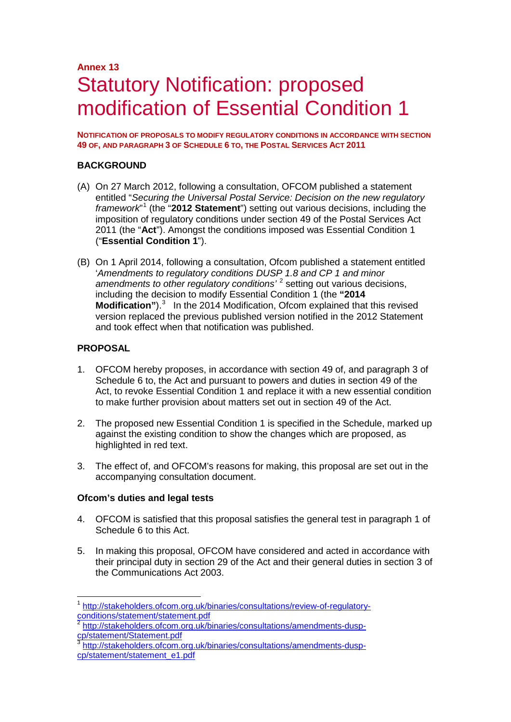## **Annex 13** Statutory Notification: proposed modification of Essential Condition 1

**NOTIFICATION OF PROPOSALS TO MODIFY REGULATORY CONDITIONS IN ACCORDANCE WITH SECTION 49 OF, AND PARAGRAPH 3 OF SCHEDULE 6 TO, THE POSTAL SERVICES ACT 2011**

## **BACKGROUND**

- (A) On 27 March 2012, following a consultation, OFCOM published a statement entitled "*Securing the Universal Postal Service: Decision on the new regulatory framework*" [1](#page-0-0) (the "**2012 Statement**") setting out various decisions, including the imposition of regulatory conditions under section 49 of the Postal Services Act 2011 (the "**Act**"). Amongst the conditions imposed was Essential Condition 1 ("**Essential Condition 1**").
- (B) On 1 April 2014, following a consultation, Ofcom published a statement entitled '*Amendments to regulatory conditions DUSP 1.8 and CP 1 and minor amendments to other regulatory conditions'* [2](#page-0-1) setting out various decisions, including the decision to modify Essential Condition 1 (the **"2014 Modification**").<sup>[3](#page-0-2)</sup> In the 2014 Modification, Ofcom explained that this revised version replaced the previous published version notified in the 2012 Statement and took effect when that notification was published.

## **PROPOSAL**

- 1. OFCOM hereby proposes, in accordance with section 49 of, and paragraph 3 of Schedule 6 to, the Act and pursuant to powers and duties in section 49 of the Act, to revoke Essential Condition 1 and replace it with a new essential condition to make further provision about matters set out in section 49 of the Act.
- 2. The proposed new Essential Condition 1 is specified in the Schedule, marked up against the existing condition to show the changes which are proposed, as highlighted in red text.
- 3. The effect of, and OFCOM's reasons for making, this proposal are set out in the accompanying consultation document.

#### **Ofcom's duties and legal tests**

- 4. OFCOM is satisfied that this proposal satisfies the general test in paragraph 1 of Schedule 6 to this Act.
- 5. In making this proposal, OFCOM have considered and acted in accordance with their principal duty in section 29 of the Act and their general duties in section 3 of the Communications Act 2003.

<span id="page-0-0"></span><sup>&</sup>lt;sup>1</sup> [http://stakeholders.ofcom.org.uk/binaries/consultations/review-of-regulatory](http://stakeholders.ofcom.org.uk/binaries/consultations/review-of-regulatory-conditions/statement/statement.pdf)[conditions/statement/statement.pdf](http://stakeholders.ofcom.org.uk/binaries/consultations/review-of-regulatory-conditions/statement/statement.pdf)

<span id="page-0-1"></span><sup>&</sup>lt;sup>2</sup> http://stakeholders.ofcom.org.uk/binaries/consultations/amendments-dusp-<br>cp/statement/Statement.pdf

<span id="page-0-2"></span>[http://stakeholders.ofcom.org.uk/binaries/consultations/amendments-dusp](http://stakeholders.ofcom.org.uk/binaries/consultations/amendments-dusp-cp/statement/statement_e1.pdf)[cp/statement/statement\\_e1.pdf](http://stakeholders.ofcom.org.uk/binaries/consultations/amendments-dusp-cp/statement/statement_e1.pdf)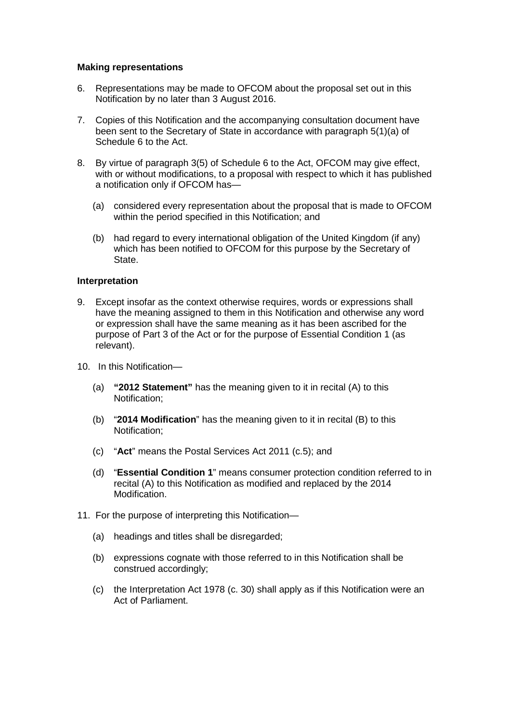## **Making representations**

- 6. Representations may be made to OFCOM about the proposal set out in this Notification by no later than 3 August 2016.
- 7. Copies of this Notification and the accompanying consultation document have been sent to the Secretary of State in accordance with paragraph 5(1)(a) of Schedule 6 to the Act.
- 8. By virtue of paragraph 3(5) of Schedule 6 to the Act, OFCOM may give effect, with or without modifications, to a proposal with respect to which it has published a notification only if OFCOM has—
	- (a) considered every representation about the proposal that is made to OFCOM within the period specified in this Notification; and
	- (b) had regard to every international obligation of the United Kingdom (if any) which has been notified to OFCOM for this purpose by the Secretary of State.

## **Interpretation**

- 9. Except insofar as the context otherwise requires, words or expressions shall have the meaning assigned to them in this Notification and otherwise any word or expression shall have the same meaning as it has been ascribed for the purpose of Part 3 of the Act or for the purpose of Essential Condition 1 (as relevant).
- 10. In this Notification—
	- (a) **"2012 Statement"** has the meaning given to it in recital (A) to this Notification;
	- (b) "**2014 Modification**" has the meaning given to it in recital (B) to this Notification;
	- (c) "**Act**" means the Postal Services Act 2011 (c.5); and
	- (d) "**Essential Condition 1**" means consumer protection condition referred to in recital (A) to this Notification as modified and replaced by the 2014 Modification.
- 11. For the purpose of interpreting this Notification—
	- (a) headings and titles shall be disregarded;
	- (b) expressions cognate with those referred to in this Notification shall be construed accordingly;
	- (c) the Interpretation Act 1978 (c. 30) shall apply as if this Notification were an Act of Parliament.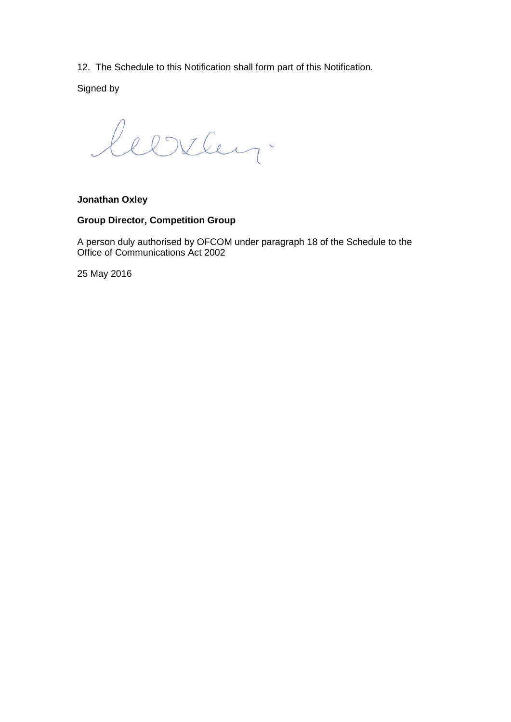12. The Schedule to this Notification shall form part of this Notification.

Signed by

leerley.

## **Jonathan Oxley**

## **Group Director, Competition Group**

A person duly authorised by OFCOM under paragraph 18 of the Schedule to the Office of Communications Act 2002

25 May 2016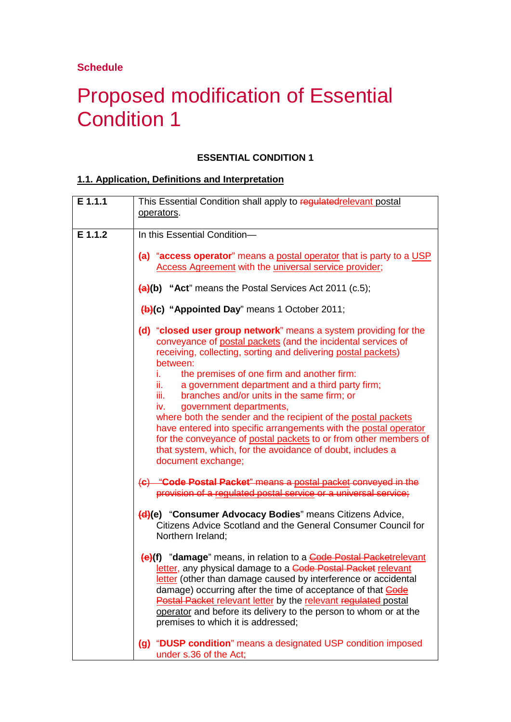**Schedule**

# Proposed modification of Essential Condition 1

## **ESSENTIAL CONDITION 1**

## **1.1. Application, Definitions and Interpretation**

| E 1.1.1 | This Essential Condition shall apply to regulatedrelevant postal                                                                                                                                                                                                                                                                                                                                                                                                                                                                                                                                                                                                                                                   |
|---------|--------------------------------------------------------------------------------------------------------------------------------------------------------------------------------------------------------------------------------------------------------------------------------------------------------------------------------------------------------------------------------------------------------------------------------------------------------------------------------------------------------------------------------------------------------------------------------------------------------------------------------------------------------------------------------------------------------------------|
|         | operators.                                                                                                                                                                                                                                                                                                                                                                                                                                                                                                                                                                                                                                                                                                         |
| E 1.1.2 | In this Essential Condition-                                                                                                                                                                                                                                                                                                                                                                                                                                                                                                                                                                                                                                                                                       |
|         | (a) "access operator" means a postal operator that is party to a USP<br><b>Access Agreement with the universal service provider;</b>                                                                                                                                                                                                                                                                                                                                                                                                                                                                                                                                                                               |
|         | $(a)(b)$ "Act" means the Postal Services Act 2011 (c.5);                                                                                                                                                                                                                                                                                                                                                                                                                                                                                                                                                                                                                                                           |
|         | (b)(c) "Appointed Day" means 1 October 2011;                                                                                                                                                                                                                                                                                                                                                                                                                                                                                                                                                                                                                                                                       |
|         | (d) "closed user group network" means a system providing for the<br>conveyance of postal packets (and the incidental services of<br>receiving, collecting, sorting and delivering postal packets)<br>between:<br>the premises of one firm and another firm:<br>i.<br>a government department and a third party firm;<br>ii. I<br>branches and/or units in the same firm; or<br>iii.<br>government departments,<br>iv.<br>where both the sender and the recipient of the postal packets<br>have entered into specific arrangements with the postal operator<br>for the conveyance of postal packets to or from other members of<br>that system, which, for the avoidance of doubt, includes a<br>document exchange; |
|         | (c) "Code Postal Packet" means a postal packet conveyed in the<br>provision of a regulated postal service or a universal service;                                                                                                                                                                                                                                                                                                                                                                                                                                                                                                                                                                                  |
|         | (d)(e) "Consumer Advocacy Bodies" means Citizens Advice,<br>Citizens Advice Scotland and the General Consumer Council for<br>Northern Ireland;                                                                                                                                                                                                                                                                                                                                                                                                                                                                                                                                                                     |
|         | (e)(f) "damage" means, in relation to a Code Postal Packetrelevant<br>letter, any physical damage to a Code Postal Packet relevant<br>letter (other than damage caused by interference or accidental<br>damage) occurring after the time of acceptance of that <b>Code</b><br>Postal Packet relevant letter by the relevant regulated postal<br>operator and before its delivery to the person to whom or at the<br>premises to which it is addressed;                                                                                                                                                                                                                                                             |
|         | (g) "DUSP condition" means a designated USP condition imposed<br>under s.36 of the Act;                                                                                                                                                                                                                                                                                                                                                                                                                                                                                                                                                                                                                            |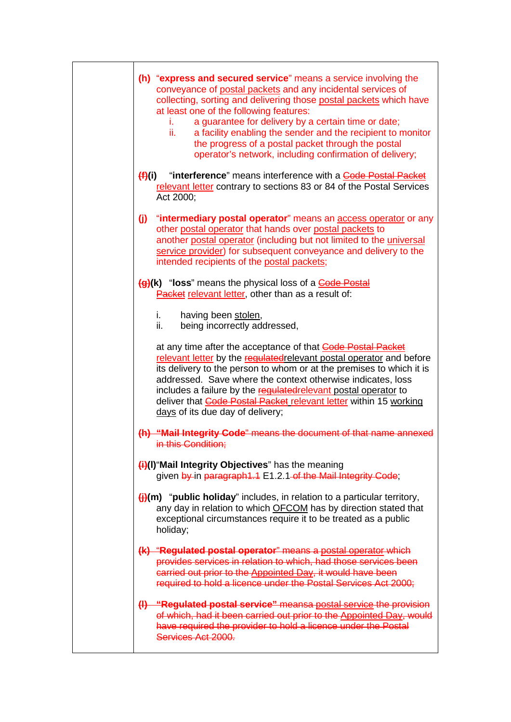|        | (h) "express and secured service" means a service involving the<br>conveyance of postal packets and any incidental services of<br>collecting, sorting and delivering those postal packets which have<br>at least one of the following features:<br>a guarantee for delivery by a certain time or date;<br>Ĺ.<br>a facility enabling the sender and the recipient to monitor<br>ii.<br>the progress of a postal packet through the postal<br>operator's network, including confirmation of delivery; |
|--------|-----------------------------------------------------------------------------------------------------------------------------------------------------------------------------------------------------------------------------------------------------------------------------------------------------------------------------------------------------------------------------------------------------------------------------------------------------------------------------------------------------|
| (H)(i) | "interference" means interference with a Code Postal Packet<br>relevant letter contrary to sections 83 or 84 of the Postal Services<br>Act 2000;                                                                                                                                                                                                                                                                                                                                                    |
| (j)    | "intermediary postal operator" means an access operator or any<br>other postal operator that hands over postal packets to<br>another postal operator (including but not limited to the <i>universal</i><br>service provider) for subsequent conveyance and delivery to the<br>intended recipients of the postal packets;                                                                                                                                                                            |
|        | (g)(k) "loss" means the physical loss of a Code Postal<br>Packet relevant letter, other than as a result of:                                                                                                                                                                                                                                                                                                                                                                                        |
|        | having been stolen,<br>i.<br>ii.<br>being incorrectly addressed,                                                                                                                                                                                                                                                                                                                                                                                                                                    |
|        | at any time after the acceptance of that <b>Code Postal Packet</b><br>relevant letter by the regulated relevant postal operator and before<br>its delivery to the person to whom or at the premises to which it is<br>addressed. Save where the context otherwise indicates, loss<br>includes a failure by the regulated relevant postal operator to<br>deliver that <b>Gode Postal Packet relevant letter</b> within 15 working<br>days of its due day of delivery;                                |
|        | (h) "Mail Integrity Code" means the document of that name annexed<br>in this Condition:                                                                                                                                                                                                                                                                                                                                                                                                             |
|        | $\left(\frac{1}{1}\right)$ (I) "Mail Integrity Objectives" has the meaning<br>given by in paragraph 1.1 E1.2.1 of the Mail Integrity Code;                                                                                                                                                                                                                                                                                                                                                          |
|        | $\bigoplus$ (m) "public holiday" includes, in relation to a particular territory,<br>any day in relation to which OFCOM has by direction stated that<br>exceptional circumstances require it to be treated as a public<br>holiday;                                                                                                                                                                                                                                                                  |
|        | (k) "Regulated postal operator" means a postal operator which<br>provides services in relation to which, had those services been<br>carried out prior to the Appointed Day, it would have been<br>required to hold a licence under the Postal Services Act 2000;                                                                                                                                                                                                                                    |
|        | (I) "Regulated postal service" meansa postal service the provision<br>of which, had it been carried out prior to the Appointed Day, would<br>have required the provider to hold a licence under the Postal<br>Services Act 2000.                                                                                                                                                                                                                                                                    |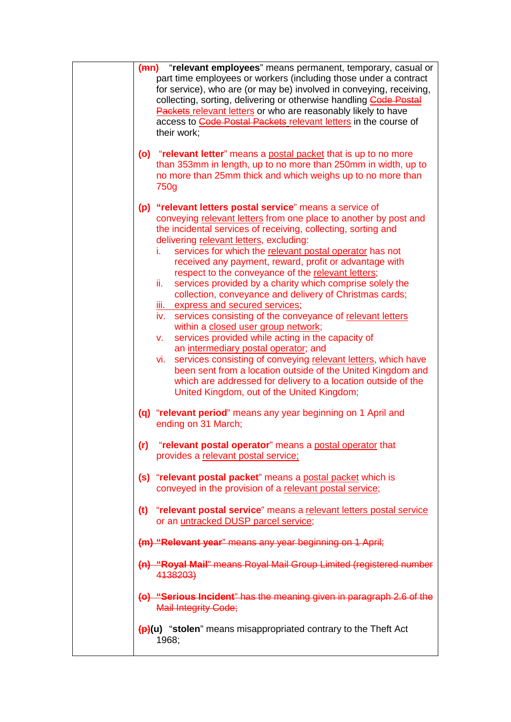| (mn) "relevant employees" means permanent, temporary, casual or<br>part time employees or workers (including those under a contract<br>for service), who are (or may be) involved in conveying, receiving,<br>collecting, sorting, delivering or otherwise handling <b>Code Postal</b><br>Packets relevant letters or who are reasonably likely to have<br>access to Code Postal Packets relevant letters in the course of<br>their work;<br>(o) "relevant letter" means a postal packet that is up to no more                                                                                                                                                                                                                                                                                                                                                                                                                                                                                                                                                 |
|----------------------------------------------------------------------------------------------------------------------------------------------------------------------------------------------------------------------------------------------------------------------------------------------------------------------------------------------------------------------------------------------------------------------------------------------------------------------------------------------------------------------------------------------------------------------------------------------------------------------------------------------------------------------------------------------------------------------------------------------------------------------------------------------------------------------------------------------------------------------------------------------------------------------------------------------------------------------------------------------------------------------------------------------------------------|
| than 353mm in length, up to no more than 250mm in width, up to<br>no more than 25mm thick and which weighs up to no more than<br>750g                                                                                                                                                                                                                                                                                                                                                                                                                                                                                                                                                                                                                                                                                                                                                                                                                                                                                                                          |
| (p) "relevant letters postal service" means a service of<br>conveying relevant letters from one place to another by post and<br>the incidental services of receiving, collecting, sorting and<br>delivering relevant letters, excluding:<br>services for which the relevant postal operator has not<br>i.<br>received any payment, reward, profit or advantage with<br>respect to the conveyance of the relevant letters;<br>services provided by a charity which comprise solely the<br>ii.<br>collection, conveyance and delivery of Christmas cards;<br>iii. express and secured services;<br>iv. services consisting of the conveyance of relevant letters<br>within a closed user group network;<br>services provided while acting in the capacity of<br>V.<br>an intermediary postal operator; and<br>services consisting of conveying relevant letters, which have<br>vi.<br>been sent from a location outside of the United Kingdom and<br>which are addressed for delivery to a location outside of the<br>United Kingdom, out of the United Kingdom; |
| (q) "relevant period" means any year beginning on 1 April and<br>ending on 31 March;                                                                                                                                                                                                                                                                                                                                                                                                                                                                                                                                                                                                                                                                                                                                                                                                                                                                                                                                                                           |
| (r) "relevant postal operator" means a postal operator that<br>provides a relevant postal service;                                                                                                                                                                                                                                                                                                                                                                                                                                                                                                                                                                                                                                                                                                                                                                                                                                                                                                                                                             |
| (s) "relevant postal packet" means a postal packet which is<br>conveyed in the provision of a relevant postal service;                                                                                                                                                                                                                                                                                                                                                                                                                                                                                                                                                                                                                                                                                                                                                                                                                                                                                                                                         |
| (t) "relevant postal service" means a relevant letters postal service<br>or an untracked DUSP parcel service;                                                                                                                                                                                                                                                                                                                                                                                                                                                                                                                                                                                                                                                                                                                                                                                                                                                                                                                                                  |
| (m) "Relevant year" means any year beginning on 1 April;                                                                                                                                                                                                                                                                                                                                                                                                                                                                                                                                                                                                                                                                                                                                                                                                                                                                                                                                                                                                       |
| (n) "Royal Mail" means Royal Mail Group Limited (registered number<br>4138203)                                                                                                                                                                                                                                                                                                                                                                                                                                                                                                                                                                                                                                                                                                                                                                                                                                                                                                                                                                                 |
| (o) "Serious Incident" has the meaning given in paragraph 2.6 of the<br><b>Mail Integrity Code;</b>                                                                                                                                                                                                                                                                                                                                                                                                                                                                                                                                                                                                                                                                                                                                                                                                                                                                                                                                                            |
| $\left(\frac{p}{p}\right)(u)$ "stolen" means misappropriated contrary to the Theft Act<br>1968;                                                                                                                                                                                                                                                                                                                                                                                                                                                                                                                                                                                                                                                                                                                                                                                                                                                                                                                                                                |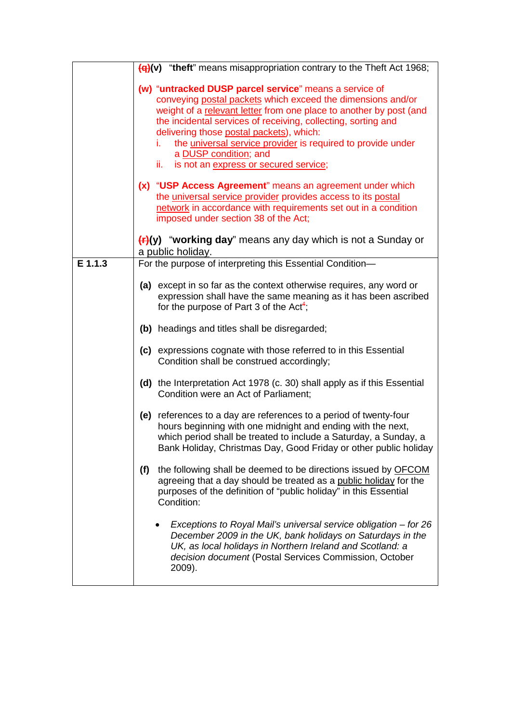|         | (q)(v) "theft" means misappropriation contrary to the Theft Act 1968;                                                                                                                                                                                                                                                                                                                                                                                         |
|---------|---------------------------------------------------------------------------------------------------------------------------------------------------------------------------------------------------------------------------------------------------------------------------------------------------------------------------------------------------------------------------------------------------------------------------------------------------------------|
|         | (w) "untracked DUSP parcel service" means a service of<br>conveying postal packets which exceed the dimensions and/or<br>weight of a relevant letter from one place to another by post (and<br>the incidental services of receiving, collecting, sorting and<br>delivering those postal packets), which:<br>the <i>universal service provider</i> is required to provide under<br>i.<br>a DUSP condition; and<br>ii.<br>is not an express or secured service; |
|         | (x) "USP Access Agreement" means an agreement under which<br>the universal service provider provides access to its postal<br>network in accordance with requirements set out in a condition<br>imposed under section 38 of the Act;                                                                                                                                                                                                                           |
|         | $(f1)(y)$ "working day" means any day which is not a Sunday or<br>a public holiday.                                                                                                                                                                                                                                                                                                                                                                           |
| E 1.1.3 | For the purpose of interpreting this Essential Condition-                                                                                                                                                                                                                                                                                                                                                                                                     |
|         | (a) except in so far as the context otherwise requires, any word or<br>expression shall have the same meaning as it has been ascribed<br>for the purpose of Part 3 of the Act <sup>4</sup> ;                                                                                                                                                                                                                                                                  |
|         | (b) headings and titles shall be disregarded;                                                                                                                                                                                                                                                                                                                                                                                                                 |
|         | (c) expressions cognate with those referred to in this Essential<br>Condition shall be construed accordingly;                                                                                                                                                                                                                                                                                                                                                 |
|         | (d) the Interpretation Act 1978 (c. 30) shall apply as if this Essential<br>Condition were an Act of Parliament;                                                                                                                                                                                                                                                                                                                                              |
|         | references to a day are references to a period of twenty-four<br>(e)<br>hours beginning with one midnight and ending with the next,<br>which period shall be treated to include a Saturday, a Sunday, a<br>Bank Holiday, Christmas Day, Good Friday or other public holiday                                                                                                                                                                                   |
|         | the following shall be deemed to be directions issued by OFCOM<br>(f)<br>agreeing that a day should be treated as a public holiday for the<br>purposes of the definition of "public holiday" in this Essential<br>Condition:                                                                                                                                                                                                                                  |
|         | Exceptions to Royal Mail's universal service obligation – for 26<br>December 2009 in the UK, bank holidays on Saturdays in the<br>UK, as local holidays in Northern Ireland and Scotland: a<br>decision document (Postal Services Commission, October<br>2009).                                                                                                                                                                                               |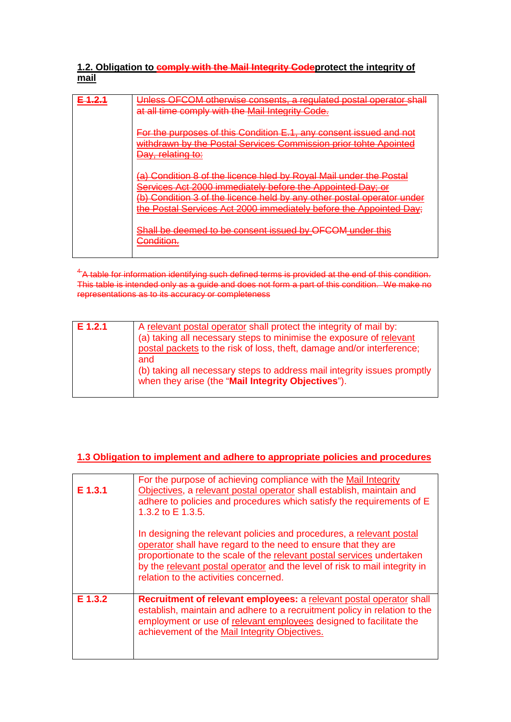## **1.2. Obligation to comply with the Mail Integrity Codeprotect the integrity of mail**

| Unless OFCOM otherwise consents, a requlated postal operator shall<br>at all time comply with the Mail Integrity Code.                                                                                                                                                                                                                                                                                                                                                                                                                                                                                                                                                                       |
|----------------------------------------------------------------------------------------------------------------------------------------------------------------------------------------------------------------------------------------------------------------------------------------------------------------------------------------------------------------------------------------------------------------------------------------------------------------------------------------------------------------------------------------------------------------------------------------------------------------------------------------------------------------------------------------------|
| For the purposes of this Condition E.1, any consent issued and not<br>withdrawn by the Postal Services Commission prior tobte Apointed<br><u>WRITCHCWITCH TROT CORRECTED COOL CONTINUOUS CONTINUES. NOTICE A REGINEER OF</u><br>Day, relating to:                                                                                                                                                                                                                                                                                                                                                                                                                                            |
| (a) Condition 8 of the licence bled by Royal Mail under the Postal<br><u>eonicinon o chino ilconochio negle vincolarichi di dol ino il coldi</u><br>Sarvices: Act 2000 immediately before the Annointed Day; or<br><del>JCI VICCS ACt 2000 mmnogiatory</del><br><u>PORT THE APPOINTED PAY. OF</u><br>Condition 3 of the licence hold by any other postal operator under<br><u>Ly av International av Alvin (1919–1919) i televisione de la participal de la participal de la participal de l</u><br><u>Magnal alam gira milaal</u><br>the Postal Services Act 2000 immediately before the Annointed Day:<br><del>the Fusial Selvices Act 2000 littliculately before the Appointed Day.</del> |
| Shall he deemed to be consent issued by OECOM under this<br><del>onall be deemed to be consent issued by OF COM under this</del><br>Condition.<br><del>oonamom.</del>                                                                                                                                                                                                                                                                                                                                                                                                                                                                                                                        |

 $4\,$ A table for information identifying such defined terms is provided at the end of this condition. This table is intended only as a guide and does not form a part of this condition. We make no representations as to its accuracy or completeness

| $E$ 1.2.1 | A relevant postal operator shall protect the integrity of mail by:                                                             |
|-----------|--------------------------------------------------------------------------------------------------------------------------------|
|           | (a) taking all necessary steps to minimise the exposure of relevant                                                            |
|           | postal packets to the risk of loss, theft, damage and/or interference;                                                         |
|           | and                                                                                                                            |
|           | (b) taking all necessary steps to address mail integrity issues promptly<br>when they arise (the "Mail Integrity Objectives"). |
|           |                                                                                                                                |

## **1.3 Obligation to implement and adhere to appropriate policies and procedures**

| E 1.3.1 | For the purpose of achieving compliance with the Mail Integrity<br>Objectives, a relevant postal operator shall establish, maintain and<br>adhere to policies and procedures which satisfy the requirements of E<br>1.3.2 to E 1.3.5.                                                                                                  |
|---------|----------------------------------------------------------------------------------------------------------------------------------------------------------------------------------------------------------------------------------------------------------------------------------------------------------------------------------------|
|         | In designing the relevant policies and procedures, a relevant postal<br>operator shall have regard to the need to ensure that they are<br>proportionate to the scale of the relevant postal services undertaken<br>by the relevant postal operator and the level of risk to mail integrity in<br>relation to the activities concerned. |
| E 1.3.2 | Recruitment of relevant employees: a relevant postal operator shall<br>establish, maintain and adhere to a recruitment policy in relation to the<br>employment or use of relevant employees designed to facilitate the<br>achievement of the Mail Integrity Objectives.                                                                |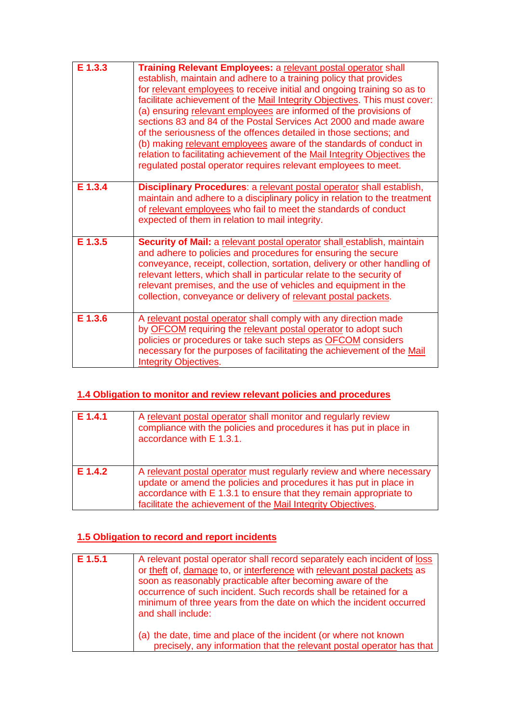| E 1.3.3 | Training Relevant Employees: a relevant postal operator shall<br>establish, maintain and adhere to a training policy that provides<br>for relevant employees to receive initial and ongoing training so as to<br>facilitate achievement of the Mail Integrity Objectives. This must cover:<br>(a) ensuring relevant employees are informed of the provisions of<br>sections 83 and 84 of the Postal Services Act 2000 and made aware<br>of the seriousness of the offences detailed in those sections; and<br>(b) making relevant employees aware of the standards of conduct in<br>relation to facilitating achievement of the Mail Integrity Objectives the<br>regulated postal operator requires relevant employees to meet. |
|---------|---------------------------------------------------------------------------------------------------------------------------------------------------------------------------------------------------------------------------------------------------------------------------------------------------------------------------------------------------------------------------------------------------------------------------------------------------------------------------------------------------------------------------------------------------------------------------------------------------------------------------------------------------------------------------------------------------------------------------------|
| E 1.3.4 | Disciplinary Procedures: a relevant postal operator shall establish,<br>maintain and adhere to a disciplinary policy in relation to the treatment<br>of relevant employees who fail to meet the standards of conduct<br>expected of them in relation to mail integrity.                                                                                                                                                                                                                                                                                                                                                                                                                                                         |
| E 1.3.5 | Security of Mail: a relevant postal operator shall_establish, maintain<br>and adhere to policies and procedures for ensuring the secure<br>conveyance, receipt, collection, sortation, delivery or other handling of<br>relevant letters, which shall in particular relate to the security of<br>relevant premises, and the use of vehicles and equipment in the<br>collection, conveyance or delivery of relevant postal packets.                                                                                                                                                                                                                                                                                              |
| E 1.3.6 | A relevant postal operator shall comply with any direction made<br>by OFCOM requiring the relevant postal operator to adopt such<br>policies or procedures or take such steps as OFCOM considers<br>necessary for the purposes of facilitating the achievement of the Mail<br><b>Integrity Objectives.</b>                                                                                                                                                                                                                                                                                                                                                                                                                      |

## **1.4 Obligation to monitor and review relevant policies and procedures**

| E 1.4.1   | A relevant postal operator shall monitor and regularly review<br>compliance with the policies and procedures it has put in place in<br>accordance with E 1.3.1.                                                                                                                 |
|-----------|---------------------------------------------------------------------------------------------------------------------------------------------------------------------------------------------------------------------------------------------------------------------------------|
| $E$ 1.4.2 | A relevant postal operator must regularly review and where necessary<br>update or amend the policies and procedures it has put in place in<br>accordance with E 1.3.1 to ensure that they remain appropriate to<br>facilitate the achievement of the Mail Integrity Objectives. |

## **1.5 Obligation to record and report incidents**

| E 1.5.1 | A relevant postal operator shall record separately each incident of loss<br>or theft of, damage to, or interference with relevant postal packets as<br>soon as reasonably practicable after becoming aware of the<br>occurrence of such incident. Such records shall be retained for a<br>minimum of three years from the date on which the incident occurred<br>and shall include: |
|---------|-------------------------------------------------------------------------------------------------------------------------------------------------------------------------------------------------------------------------------------------------------------------------------------------------------------------------------------------------------------------------------------|
|         | (a) the date, time and place of the incident (or where not known<br>precisely, any information that the relevant postal operator has that                                                                                                                                                                                                                                           |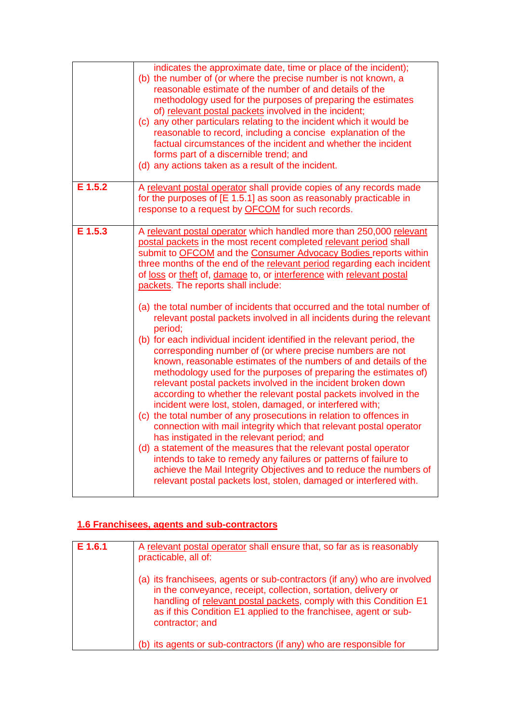|         | indicates the approximate date, time or place of the incident);<br>(b) the number of (or where the precise number is not known, a<br>reasonable estimate of the number of and details of the<br>methodology used for the purposes of preparing the estimates<br>of) relevant postal packets involved in the incident;<br>(c) any other particulars relating to the incident which it would be<br>reasonable to record, including a concise explanation of the<br>factual circumstances of the incident and whether the incident<br>forms part of a discernible trend; and<br>(d) any actions taken as a result of the incident.                                                                                                                                                                                                                                                                                                                                                                                                                                                                                                                                                                                                                                                                                                                                                         |
|---------|-----------------------------------------------------------------------------------------------------------------------------------------------------------------------------------------------------------------------------------------------------------------------------------------------------------------------------------------------------------------------------------------------------------------------------------------------------------------------------------------------------------------------------------------------------------------------------------------------------------------------------------------------------------------------------------------------------------------------------------------------------------------------------------------------------------------------------------------------------------------------------------------------------------------------------------------------------------------------------------------------------------------------------------------------------------------------------------------------------------------------------------------------------------------------------------------------------------------------------------------------------------------------------------------------------------------------------------------------------------------------------------------|
| E 1.5.2 | A relevant postal operator shall provide copies of any records made<br>for the purposes of [E 1.5.1] as soon as reasonably practicable in<br>response to a request by OFCOM for such records.                                                                                                                                                                                                                                                                                                                                                                                                                                                                                                                                                                                                                                                                                                                                                                                                                                                                                                                                                                                                                                                                                                                                                                                           |
| E 1.5.3 | A relevant postal operator which handled more than 250,000 relevant<br>postal packets in the most recent completed relevant period shall<br>submit to OFCOM and the Consumer Advocacy Bodies reports within<br>three months of the end of the relevant period regarding each incident<br>of loss or theft of, damage to, or interference with relevant postal<br>packets. The reports shall include:<br>(a) the total number of incidents that occurred and the total number of<br>relevant postal packets involved in all incidents during the relevant<br>period;<br>(b) for each individual incident identified in the relevant period, the<br>corresponding number of (or where precise numbers are not<br>known, reasonable estimates of the numbers of and details of the<br>methodology used for the purposes of preparing the estimates of)<br>relevant postal packets involved in the incident broken down<br>according to whether the relevant postal packets involved in the<br>incident were lost, stolen, damaged, or interfered with;<br>(c) the total number of any prosecutions in relation to offences in<br>connection with mail integrity which that relevant postal operator<br>has instigated in the relevant period; and<br>(d) a statement of the measures that the relevant postal operator<br>intends to take to remedy any failures or patterns of failure to |
|         | achieve the Mail Integrity Objectives and to reduce the numbers of<br>relevant postal packets lost, stolen, damaged or interfered with.                                                                                                                                                                                                                                                                                                                                                                                                                                                                                                                                                                                                                                                                                                                                                                                                                                                                                                                                                                                                                                                                                                                                                                                                                                                 |

## **1.6 Franchisees, agents and sub-contractors**

| E 1.6.1 | A relevant postal operator shall ensure that, so far as is reasonably<br>practicable, all of:                                                                                                                                                                                                           |
|---------|---------------------------------------------------------------------------------------------------------------------------------------------------------------------------------------------------------------------------------------------------------------------------------------------------------|
|         | (a) its franchisees, agents or sub-contractors (if any) who are involved<br>in the conveyance, receipt, collection, sortation, delivery or<br>handling of relevant postal packets, comply with this Condition E1<br>as if this Condition E1 applied to the franchisee, agent or sub-<br>contractor; and |
|         | (b) its agents or sub-contractors (if any) who are responsible for                                                                                                                                                                                                                                      |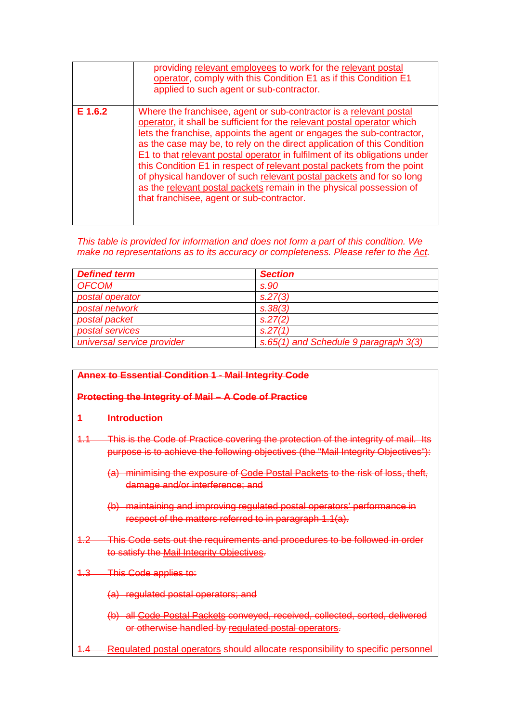|         | providing relevant employees to work for the relevant postal<br>operator, comply with this Condition E1 as if this Condition E1<br>applied to such agent or sub-contractor.                                                                                                                                                                                                                                                                                                                                                                                                                                                                           |
|---------|-------------------------------------------------------------------------------------------------------------------------------------------------------------------------------------------------------------------------------------------------------------------------------------------------------------------------------------------------------------------------------------------------------------------------------------------------------------------------------------------------------------------------------------------------------------------------------------------------------------------------------------------------------|
| E 1.6.2 | Where the franchisee, agent or sub-contractor is a relevant postal<br>operator, it shall be sufficient for the relevant postal operator which<br>lets the franchise, appoints the agent or engages the sub-contractor,<br>as the case may be, to rely on the direct application of this Condition<br>E1 to that relevant postal operator in fulfilment of its obligations under<br>this Condition E1 in respect of relevant postal packets from the point<br>of physical handover of such relevant postal packets and for so long<br>as the relevant postal packets remain in the physical possession of<br>that franchisee, agent or sub-contractor. |

*This table is provided for information and does not form a part of this condition. We make no representations as to its accuracy or completeness. Please refer to the Act.*

| <b>Defined term</b>        | <b>Section</b>                        |
|----------------------------|---------------------------------------|
| <b>OFCOM</b>               | s.90                                  |
| postal operator            | s.27(3)                               |
| postal network             | S.38(3)                               |
| postal packet              | S.27(2)                               |
| postal services            | S.27(1)                               |
| universal service provider | s.65(1) and Schedule 9 paragraph 3(3) |

#### **Annex to Essential Condition 1 - Mail Integrity Code**

#### **Protecting the Integrity of Mail – A Code of Practice**

#### **1 Introduction**

- 1.1 This is the Code of Practice covering the protection of the integrity of mail. Its purpose is to achieve the following objectives (the "Mail Integrity Objectives"):
	- (a) minimising the exposure of Code Postal Packets to the risk of loss, theft, damage and/or interference; and
	- (b) maintaining and improving regulated postal operators' performance in respect of the matters referred to in paragraph 1.1(a).
- 1.2 This Code sets out the requirements and procedures to be followed in order to satisfy the Mail Integrity Objectives.
- 1.3 This Code applies to:

(a) regulated postal operators; and

- (b) all Code Postal Packets conveyed, received, collected, sorted, delivered or otherwise handled by regulated postal operators.
- 1.4 Regulated postal operators should allocate responsibility to specific personnel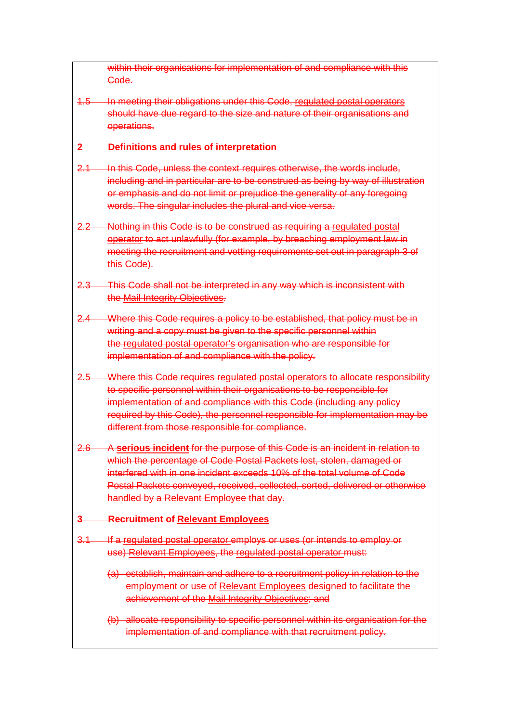within their organisations for implementation of and compliance with this Code.

1.5 In meeting their obligations under this Code, regulated postal operators should have due regard to the size and nature of their organisations and operations.

## **2 Definitions and rules of interpretation**

- 2.1 In this Code, unless the context requires otherwise, the words include, including and in particular are to be construed as being by way of illustration or emphasis and do not limit or prejudice the generality of any foregoing words. The singular includes the plural and vice versa.
- 2.2 Nothing in this Code is to be construed as requiring a regulated postal operator to act unlawfully (for example, by breaching employment law in meeting the recruitment and vetting requirements set out in paragraph 3 of this Code).
- 2.3 This Code shall not be interpreted in any way which is inconsistent with the Mail Integrity Objectives.
- 2.4 Where this Code requires a policy to be established, that policy must be in writing and a copy must be given to the specific personnel within the regulated postal operator's organisation who are responsible for implementation of and compliance with the policy.
- 2.5 Where this Code requires regulated postal operators to allocate responsibility to specific personnel within their organisations to be responsible for implementation of and compliance with this Code (including any policy required by this Code), the personnel responsible for implementation may be different from those responsible for compliance.
- 2.6 A **serious incident** for the purpose of this Code is an incident in relation to which the percentage of Code Postal Packets lost, stolen, damaged or interfered with in one incident exceeds 10% of the total volume of Code Postal Packets conveyed, received, collected, sorted, delivered or otherwise handled by a Relevant Employee that day.

#### **3 Recruitment of Relevant Employees**

- 3.1 If a regulated postal operator employs or uses (or intends to employ or use) Relevant Employees, the regulated postal operator must:
	- (a) establish, maintain and adhere to a recruitment policy in relation to the employment or use of Relevant Employees designed to facilitate the achievement of the Mail Integrity Objectives; and
	- (b) allocate responsibility to specific personnel within its organisation for the implementation of and compliance with that recruitment policy.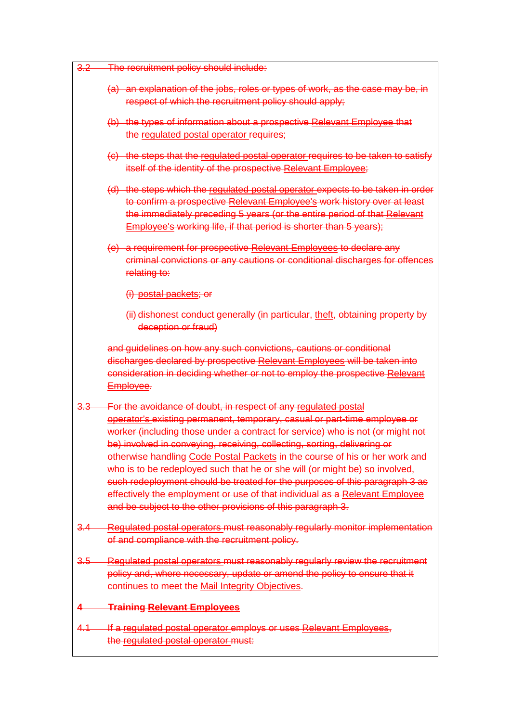| $3.2 -$     | The recruitment policy should include:                                                                                                                                                                                                                                                                                                                                                                                                                                                                                                                                                                                                                                                               |
|-------------|------------------------------------------------------------------------------------------------------------------------------------------------------------------------------------------------------------------------------------------------------------------------------------------------------------------------------------------------------------------------------------------------------------------------------------------------------------------------------------------------------------------------------------------------------------------------------------------------------------------------------------------------------------------------------------------------------|
|             | (a) an explanation of the jobs, roles or types of work, as the case may be, in<br>respect of which the recruitment policy should apply;                                                                                                                                                                                                                                                                                                                                                                                                                                                                                                                                                              |
|             | (b) the types of information about a prospective Relevant Employee that<br>the regulated postal operator requires;                                                                                                                                                                                                                                                                                                                                                                                                                                                                                                                                                                                   |
|             | (c) the steps that the regulated postal operator requires to be taken to satisfy<br>itself of the identity of the prospective Relevant Employee;                                                                                                                                                                                                                                                                                                                                                                                                                                                                                                                                                     |
|             | (d) the steps which the regulated postal operator expects to be taken in order<br>to confirm a prospective Relevant Employee's work history over at least<br>the immediately preceding 5 years (or the entire period of that Relevant<br>Employee's working life, if that period is shorter than 5 years);                                                                                                                                                                                                                                                                                                                                                                                           |
|             | (e) a requirement for prospective Relevant Employees to declare any<br>criminal convictions or any cautions or conditional discharges for offences<br>relating to:                                                                                                                                                                                                                                                                                                                                                                                                                                                                                                                                   |
|             | (i) postal packets; or                                                                                                                                                                                                                                                                                                                                                                                                                                                                                                                                                                                                                                                                               |
|             | (ii) dishonest conduct generally (in particular, theft, obtaining property by<br>deception or fraud)                                                                                                                                                                                                                                                                                                                                                                                                                                                                                                                                                                                                 |
|             | and guidelines on how any such convictions, cautions or conditional<br>discharges declared by prospective Relevant Employees will be taken into<br>consideration in deciding whether or not to employ the prospective Relevant<br>Employee.                                                                                                                                                                                                                                                                                                                                                                                                                                                          |
| <u>3.3—</u> | For the avoidance of doubt, in respect of any regulated postal<br>operator's existing permanent, temporary, casual or part-time employee or<br>worker (including those under a contract for service) who is not (or might not<br>be) involved in conveying, receiving, collecting, sorting, delivering or<br>otherwise handling Code Postal Packets in the course of his or her work and<br>who is to be redeployed such that he or she will (or might be) so involved,<br>such redeployment should be treated for the purposes of this paragraph 3 as<br>effectively the employment or use of that individual as a Relevant Employee<br>and be subject to the other provisions of this paragraph 3. |
| <u>3.4—</u> | Regulated postal operators must reasonably regularly monitor implementation<br>of and compliance with the recruitment policy.                                                                                                                                                                                                                                                                                                                                                                                                                                                                                                                                                                        |
| $3.5-$      | Regulated postal operators must reasonably regularly review the recruitment<br>policy and, where necessary, update or amend the policy to ensure that it<br>continues to meet the Mail Integrity Objectives.                                                                                                                                                                                                                                                                                                                                                                                                                                                                                         |
|             | <b>Training Relevant Employees</b>                                                                                                                                                                                                                                                                                                                                                                                                                                                                                                                                                                                                                                                                   |
| $4.1 -$     | If a regulated postal operator employs or uses Relevant Employees,<br>the regulated postal operator must:                                                                                                                                                                                                                                                                                                                                                                                                                                                                                                                                                                                            |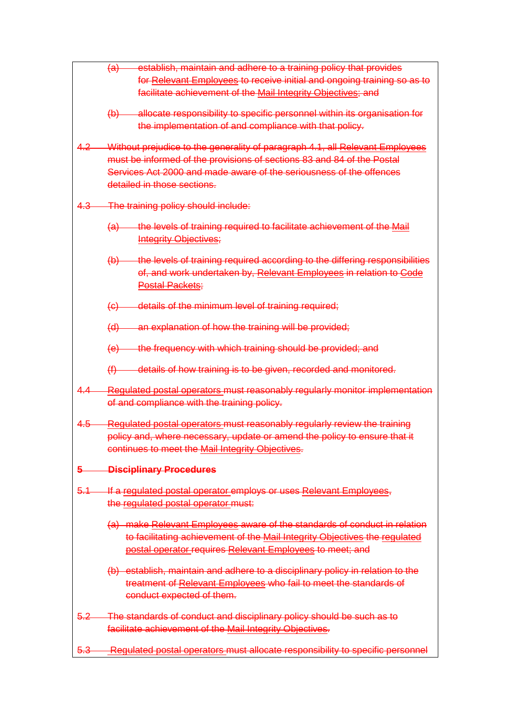|         | establish, maintain and adhere to a training policy that provides<br><del>(a)</del>     |  |
|---------|-----------------------------------------------------------------------------------------|--|
|         | for Relevant Employees to receive initial and ongoing training so as to                 |  |
|         | facilitate achievement of the Mail Integrity Objectives; and                            |  |
|         |                                                                                         |  |
|         | (b) allocate responsibility to specific personnel within its organisation for           |  |
|         | the implementation of and compliance with that policy.                                  |  |
|         | 4.2 Without prejudice to the generality of paragraph 4.1, all Relevant Employees        |  |
|         | must be informed of the provisions of sections 83 and 84 of the Postal                  |  |
|         | Services Act 2000 and made aware of the seriousness of the offences                     |  |
|         | detailed in those sections.                                                             |  |
|         |                                                                                         |  |
|         | 4.3 The training policy should include:                                                 |  |
|         |                                                                                         |  |
|         | the levels of training required to facilitate achievement of the Mail<br><del>(a)</del> |  |
|         | <b>Integrity Objectives;</b>                                                            |  |
|         | (b) the levels of training required according to the differing responsibilities         |  |
|         | of, and work undertaken by, Relevant Employees in relation to Code                      |  |
|         | <b>Postal Packets;</b>                                                                  |  |
|         |                                                                                         |  |
|         | (c) details of the minimum level of training required;                                  |  |
|         |                                                                                         |  |
|         | (d) an explanation of how the training will be provided;                                |  |
|         | (e) the frequency with which training should be provided; and                           |  |
|         |                                                                                         |  |
|         | $(f)$ details of how training is to be given, recorded and monitored.                   |  |
| 4.4—    | Regulated postal operators must reasonably regularly monitor implementation             |  |
|         | of and compliance with the training policy.                                             |  |
|         |                                                                                         |  |
| $4.5-$  | Regulated postal operators must reasonably regularly review the training                |  |
|         | policy and, where necessary, update or amend the policy to ensure that it               |  |
|         | continues to meet the Mail Integrity Objectives.                                        |  |
|         |                                                                                         |  |
| 5.      | <b>Disciplinary Procedures</b>                                                          |  |
| $5.1 -$ | If a regulated postal operator employs or uses Relevant Employees,                      |  |
|         | the regulated postal operator must.                                                     |  |
|         |                                                                                         |  |
|         | (a) make Relevant Employees aware of the standards of conduct in relation               |  |
|         | to facilitating achievement of the Mail Integrity Objectives the regulated              |  |
|         | postal operator requires Relevant Employees to meet; and                                |  |
|         | (b) establish, maintain and adhere to a disciplinary policy in relation to the          |  |
|         | treatment of Relevant Employees who fail to meet the standards of                       |  |
|         | conduct expected of them.                                                               |  |
|         |                                                                                         |  |
|         | 5.2 The standards of conduct and disciplinary policy should be such as to               |  |
|         | facilitate achievement of the Mail Integrity Objectives.                                |  |
|         |                                                                                         |  |
|         | 5.3 Regulated postal operators must allocate responsibility to specific personnel       |  |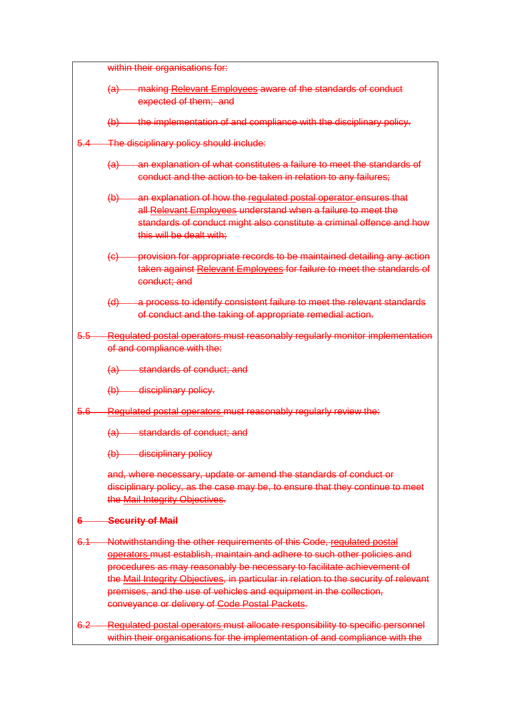|         | within their organisations for:                                                                                                                                                                                                                                                                                                                                                                                                             |  |
|---------|---------------------------------------------------------------------------------------------------------------------------------------------------------------------------------------------------------------------------------------------------------------------------------------------------------------------------------------------------------------------------------------------------------------------------------------------|--|
|         | (a) making Relevant Employees aware of the standards of conduct                                                                                                                                                                                                                                                                                                                                                                             |  |
|         | expected of them; and                                                                                                                                                                                                                                                                                                                                                                                                                       |  |
|         | (b) the implementation of and compliance with the disciplinary policy.                                                                                                                                                                                                                                                                                                                                                                      |  |
| $5.4-$  | The disciplinary policy should include:                                                                                                                                                                                                                                                                                                                                                                                                     |  |
|         | (a) an explanation of what constitutes a failure to meet the standards of<br>conduct and the action to be taken in relation to any failures;                                                                                                                                                                                                                                                                                                |  |
|         | (b) an explanation of how the regulated postal operator ensures that<br>all Relevant Employees understand when a failure to meet the<br>standards of conduct might also constitute a criminal offence and how<br>this will be dealt with:                                                                                                                                                                                                   |  |
|         | (c) provision for appropriate records to be maintained detailing any action<br>taken against Relevant Employees for failure to meet the standards of<br>conduct; and                                                                                                                                                                                                                                                                        |  |
|         | (d) a process to identify consistent failure to meet the relevant standards<br>of conduct and the taking of appropriate remedial action.                                                                                                                                                                                                                                                                                                    |  |
|         | 5.5 Regulated postal operators must reasonably regularly monitor implementation                                                                                                                                                                                                                                                                                                                                                             |  |
|         | of and compliance with the:                                                                                                                                                                                                                                                                                                                                                                                                                 |  |
|         | (a) standards of conduct; and                                                                                                                                                                                                                                                                                                                                                                                                               |  |
|         | (b) disciplinary policy.                                                                                                                                                                                                                                                                                                                                                                                                                    |  |
|         | 5.6 Regulated postal operators must reasonably regularly review the:                                                                                                                                                                                                                                                                                                                                                                        |  |
|         | (a) standards of conduct; and                                                                                                                                                                                                                                                                                                                                                                                                               |  |
|         | (b) disciplinary policy                                                                                                                                                                                                                                                                                                                                                                                                                     |  |
|         | and, where necessary, update or amend the standards of conduct or<br>disciplinary policy, as the case may be, to ensure that they continue to meet<br>the Mail Integrity Objectives.                                                                                                                                                                                                                                                        |  |
| 6.      | <b>Security of Mail</b>                                                                                                                                                                                                                                                                                                                                                                                                                     |  |
| $6.1 -$ | Notwithstanding the other requirements of this Code, regulated postal<br>operators must establish, maintain and adhere to such other policies and<br>procedures as may reasonably be necessary to facilitate achievement of<br>the Mail Integrity Objectives, in particular in relation to the security of relevant<br>premises, and the use of vehicles and equipment in the collection,<br>conveyance or delivery of Code Postal Packets. |  |
| $6.2 -$ | Regulated postal operators must allocate responsibility to specific personnel<br>within their organisations for the implementation of and compliance with the                                                                                                                                                                                                                                                                               |  |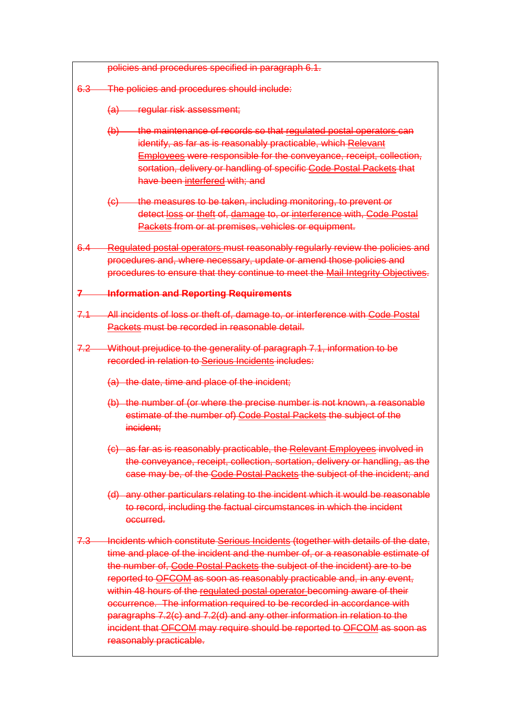|                  | policies and procedures specified in paragraph 6.1.                                                                                                                                                                                                                                                                                                                                                                                                                                                                                                                                                                                                              |  |
|------------------|------------------------------------------------------------------------------------------------------------------------------------------------------------------------------------------------------------------------------------------------------------------------------------------------------------------------------------------------------------------------------------------------------------------------------------------------------------------------------------------------------------------------------------------------------------------------------------------------------------------------------------------------------------------|--|
|                  | 6.3 The policies and procedures should include:                                                                                                                                                                                                                                                                                                                                                                                                                                                                                                                                                                                                                  |  |
|                  | (a) regular risk assessment;                                                                                                                                                                                                                                                                                                                                                                                                                                                                                                                                                                                                                                     |  |
|                  | (b) the maintenance of records so that regulated postal operators can<br>identify, as far as is reasonably practicable, which Relevant<br><b>Employees were responsible for the conveyance, receipt, collection,</b><br>sortation, delivery or handling of specific Code Postal Packets that<br>have been interfered with; and                                                                                                                                                                                                                                                                                                                                   |  |
|                  | (c) the measures to be taken, including monitoring, to prevent or<br>detect loss or theft of, damage to, or interference with, Code Postal<br>Packets from or at premises, vehicles or equipment.                                                                                                                                                                                                                                                                                                                                                                                                                                                                |  |
|                  | 6.4 Regulated postal operators must reasonably regularly review the policies and<br>procedures and, where necessary, update or amend those policies and<br>procedures to ensure that they continue to meet the Mail Integrity Objectives.                                                                                                                                                                                                                                                                                                                                                                                                                        |  |
|                  | 7 Information and Reporting Requirements                                                                                                                                                                                                                                                                                                                                                                                                                                                                                                                                                                                                                         |  |
|                  | 7.1 All incidents of loss or theft of, damage to, or interference with Code Postal<br>Packets must be recorded in reasonable detail.                                                                                                                                                                                                                                                                                                                                                                                                                                                                                                                             |  |
|                  | 7.2 Without prejudice to the generality of paragraph 7.1, information to be<br>recorded in relation to Serious Incidents includes:                                                                                                                                                                                                                                                                                                                                                                                                                                                                                                                               |  |
|                  | (a) the date, time and place of the incident;                                                                                                                                                                                                                                                                                                                                                                                                                                                                                                                                                                                                                    |  |
|                  | (b) the number of (or where the precise number is not known, a reasonable<br>estimate of the number of) Code Postal Packets the subject of the<br>incident:                                                                                                                                                                                                                                                                                                                                                                                                                                                                                                      |  |
|                  | (c) as far as is reasonably practicable, the Relevant Employees involved in<br>the conveyance, receipt, collection, sortation, delivery or handling, as the<br>case may be, of the Code Postal Packets the subject of the incident; and                                                                                                                                                                                                                                                                                                                                                                                                                          |  |
|                  | (d) any other particulars relating to the incident which it would be reasonable<br>to record, including the factual circumstances in which the incident<br>occurred.                                                                                                                                                                                                                                                                                                                                                                                                                                                                                             |  |
| <del>7.3 —</del> | Incidents which constitute Serious Incidents (together with details of the date,<br>time and place of the incident and the number of, or a reasonable estimate of<br>the number of, Code Postal Packets the subject of the incident) are to be<br>reported to OFCOM as soon as reasonably practicable and, in any event,<br>within 48 hours of the regulated postal operator becoming aware of their<br>occurrence. The information required to be recorded in accordance with<br>paragraphs 7.2(c) and 7.2(d) and any other information in relation to the<br>incident that OFCOM may require should be reported to OFCOM as soon as<br>reasonably practicable. |  |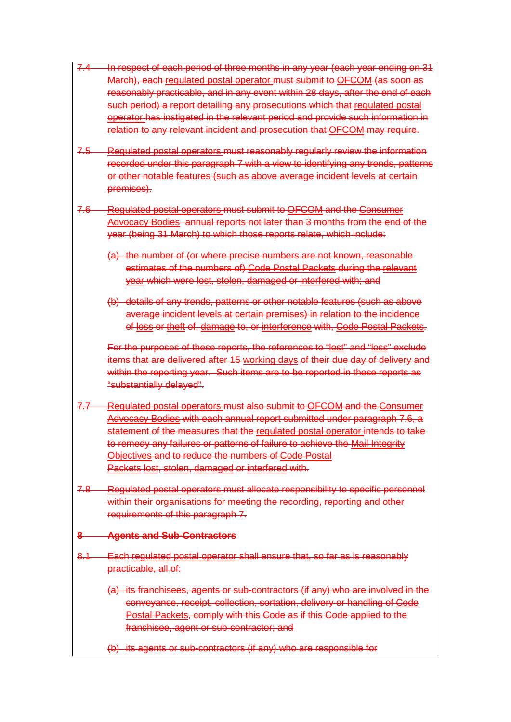- 7.4 In respect of each period of three months in any year (each year ending on 31 March), each regulated postal operator must submit to OFCOM (as soon as reasonably practicable, and in any event within 28 days, after the end of each such period) a report detailing any prosecutions which that regulated postal operator has instigated in the relevant period and provide such information in relation to any relevant incident and prosecution that OFCOM may require.
- 7.5 Regulated postal operators must reasonably regularly review the information recorded under this paragraph 7 with a view to identifying any trends, patterns or other notable features (such as above average incident levels at certain premises).
- 7.6 Regulated postal operators must submit to OFCOM and the Consumer Advocacy Bodies annual reports not later than 3 months from the end of the year (being 31 March) to which those reports relate, which include:
	- (a) the number of (or where precise numbers are not known, reasonable estimates of the numbers of) Code Postal Packets during the relevant year which were lost, stolen, damaged or interfered with; and
	- (b) details of any trends, patterns or other notable features (such as above average incident levels at certain premises) in relation to the incidence of loss or theft of, damage to, or interference with, Code Postal Packets.

For the purposes of these reports, the references to "lost" and "loss" exclude items that are delivered after 15 working days of their due day of delivery and within the reporting year. Such items are to be reported in these reports as "substantially delayed".

- 7.7 Regulated postal operators must also submit to OFCOM and the Consumer Advocacy Bodies with each annual report submitted under paragraph 7.6, a statement of the measures that the regulated postal operator intends to take to remedy any failures or patterns of failure to achieve the Mail Integrity Objectives and to reduce the numbers of Code Postal Packets lost, stolen, damaged or interfered with.
- 7.8 Regulated postal operators must allocate responsibility to specific personnel within their organisations for meeting the recording, reporting and other requirements of this paragraph 7.

## **8 Agents and Sub-Contractors**

- 8.1 Each regulated postal operator shall ensure that, so far as is reasonably practicable, all of:
	- (a) its franchisees, agents or sub-contractors (if any) who are involved in the conveyance, receipt, collection, sortation, delivery or handling of Code Postal Packets, comply with this Code as if this Code applied to the franchisee, agent or sub-contractor; and
	- (b) its agents or sub-contractors (if any) who are responsible for